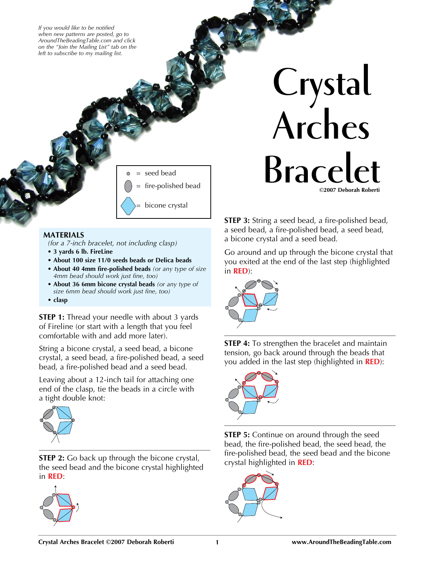*If you would like to be notified when new patterns are posted, go to AroundTheBeadingTable.com and click on the "Join the Mailing List" tab on the left to subscribe to my mailing list.*



## **MATERIALS**

*(for a 7-inch bracelet, not including clasp)*

- **3 yards 6 lb. FireLine**
- **About 100 size 11/0 seeds beads or Delica beads**
- **About 40 4mm fire-polished beads** *(or any type of size 4mm bead should work just fine, too)*
- **About 36 6mm bicone crystal beads** *(or any type of size 6mm bead should work just fine, too)*
- **clasp**

**STEP 1:** Thread your needle with about 3 yards of Fireline (or start with a length that you feel comfortable with and add more later).

String a bicone crystal, a seed bead, a bicone crystal, a seed bead, a fire-polished bead, a seed bead, a fire-polished bead and a seed bead.

Leaving about a 12-inch tail for attaching one end of the clasp, tie the beads in a circle with a tight double knot:



**STEP 2:** Go back up through the bicone crystal, the seed bead and the bicone crystal highlighted in **RED**:



**Crystal Arches**   $\overline{\text{Bracel}}$ **©2007 Deborah Roberti**

> **STEP 3:** String a seed bead, a fire-polished bead, a seed bead, a fire-polished bead, a seed bead, a bicone crystal and a seed bead.

Go around and up through the bicone crystal that you exited at the end of the last step (highlighted in **RED**):



**STEP 4:** To strengthen the bracelet and maintain tension, go back around through the beads that you added in the last step (highlighted in **RED**):



**STEP 5:** Continue on around through the seed bead, the fire-polished bead, the seed bead, the fire-polished bead, the seed bead and the bicone crystal highlighted in **RED**:

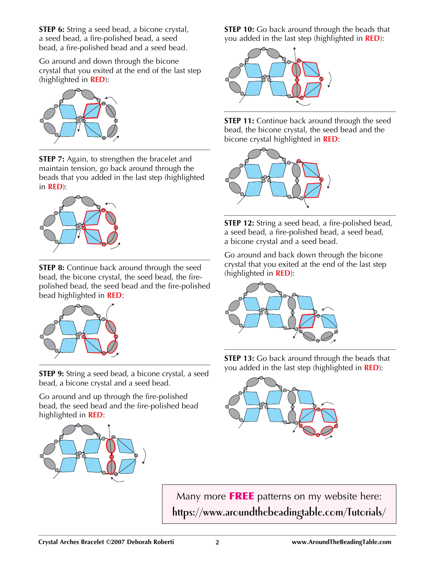**STEP 6:** String a seed bead, a bicone crystal, a seed bead, a fire-polished bead, a seed bead, a fire-polished bead and a seed bead.

Go around and down through the bicone crystal that you exited at the end of the last step (highlighted in **RED**):



**STEP 7:** Again, to strengthen the bracelet and maintain tension, go back around through the beads that you added in the last step (highlighted in **RED**):



**STEP 8:** Continue back around through the seed bead, the bicone crystal, the seed bead, the firepolished bead, the seed bead and the fire-polished bead highlighted in **RED**:



**STEP 9:** String a seed bead, a bicone crystal, a seed bead, a bicone crystal and a seed bead.

Go around and up through the fire-polished bead, the seed bead and the fire-polished bead highlighted in **RED**:



**STEP 10:** Go back around through the beads that you added in the last step (highlighted in **RED**):



**STEP 11:** Continue back around through the seed bead, the bicone crystal, the seed bead and the bicone crystal highlighted in **RED**:



**STEP 12:** String a seed bead, a fire-polished bead, a seed bead, a fire-polished bead, a seed bead, a bicone crystal and a seed bead.

Go around and back down through the bicone crystal that you exited at the end of the last step (highlighted in **RED**):



**STEP 13:** Go back around through the beads that you added in the last step (highlighted in **RED**):



Many more FREE patterns on my website here: **https://www.aroundthebeadingtable.com/Tutorials/**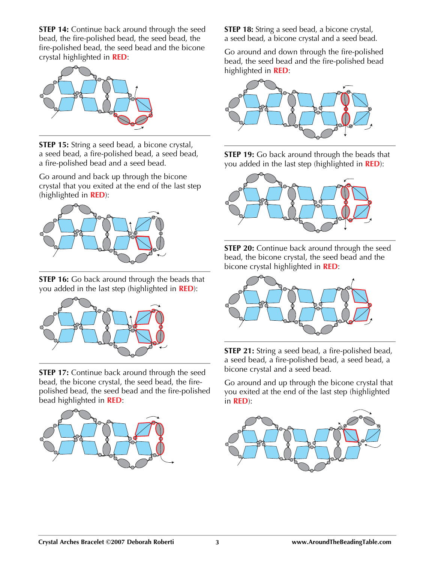**STEP 14:** Continue back around through the seed bead, the fire-polished bead, the seed bead, the fire-polished bead, the seed bead and the bicone crystal highlighted in **RED**:



**STEP 15:** String a seed bead, a bicone crystal, a seed bead, a fire-polished bead, a seed bead, a fire-polished bead and a seed bead.

Go around and back up through the bicone crystal that you exited at the end of the last step (highlighted in **RED**):



**STEP 16:** Go back around through the beads that you added in the last step (highlighted in **RED**):



**STEP 17:** Continue back around through the seed bead, the bicone crystal, the seed bead, the firepolished bead, the seed bead and the fire-polished bead highlighted in **RED**:



**STEP 18:** String a seed bead, a bicone crystal, a seed bead, a bicone crystal and a seed bead.

Go around and down through the fire-polished bead, the seed bead and the fire-polished bead highlighted in **RED**:



**STEP 19:** Go back around through the beads that you added in the last step (highlighted in **RED**):



**STEP 20:** Continue back around through the seed bead, the bicone crystal, the seed bead and the bicone crystal highlighted in **RED**:



**STEP 21:** String a seed bead, a fire-polished bead, a seed bead, a fire-polished bead, a seed bead, a bicone crystal and a seed bead.

Go around and up through the bicone crystal that you exited at the end of the last step (highlighted in **RED**):